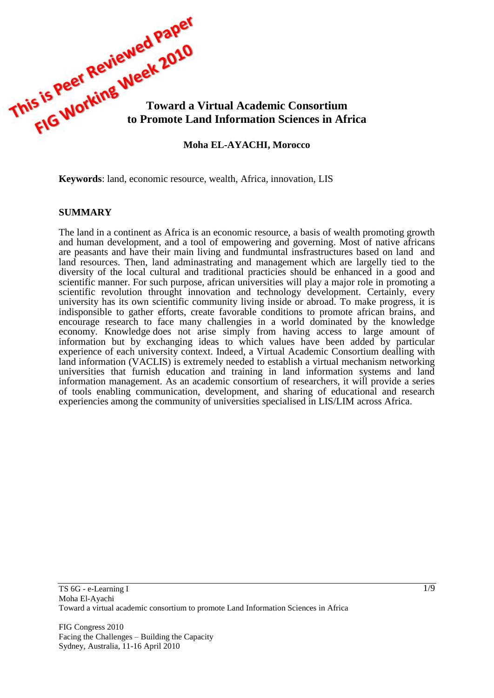

**Keywords**: land, economic resource, wealth, Africa, innovation, LIS

#### **SUMMARY**

The land in a continent as Africa is an economic resource, a basis of wealth promoting growth and human development, and a tool of empowering and governing. Most of native africans are peasants and have their main living and fundmuntal insfrastructures based on land and land resources. Then, land adminastrating and management which are largelly tied to the diversity of the local cultural and traditional practicies should be enhanced in a good and scientific manner. For such purpose, african universities will play a major role in promoting a scientific revolution throught innovation and technology development. Certainly, every university has its own scientific community living inside or abroad. To make progress, it is indisponsible to gather efforts, create favorable conditions to promote african brains, and encourage research to face many challengies in a world dominated by the knowledge economy. Knowledge does not arise simply from having access to large amount of information but by exchanging ideas to which values have been added by particular experience of each university context. Indeed, a Virtual Academic Consortium dealling with land information (VACLIS) is extremely needed to establish a virtual mechanism networking universities that furnish education and training in land information systems and land information management. As an academic consortium of researchers, it will provide a series of tools enabling communication, development, and sharing of educational and research experiencies among the community of universities specialised in LIS/LIM across Africa.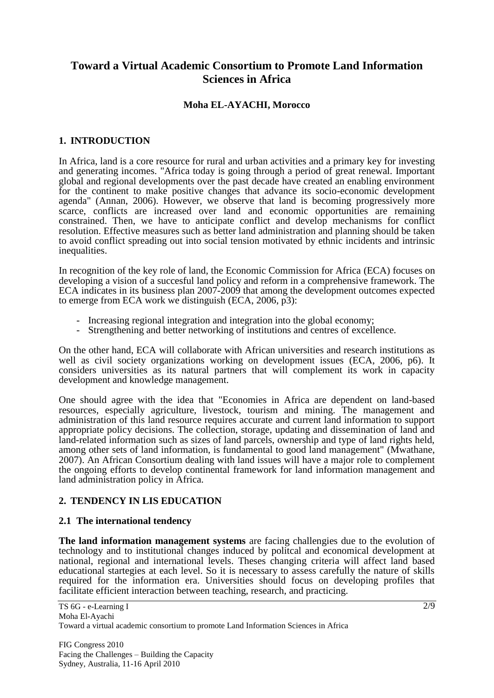# **Toward a Virtual Academic Consortium to Promote Land Information Sciences in Africa**

### **Moha EL-AYACHI, Morocco**

# **1. INTRODUCTION**

In Africa, land is a core resource for rural and urban activities and a primary key for investing and generating incomes. "Africa today is going through a period of great renewal. Important global and regional developments over the past decade have created an enabling environment for the continent to make positive changes that advance its socio-economic development agenda" (Annan, 2006). However, we observe that land is becoming progressively more scarce, conflicts are increased over land and economic opportunities are remaining constrained. Then, we have to anticipate conflict and develop mechanisms for conflict resolution. Effective measures such as better land administration and planning should be taken to avoid conflict spreading out into social tension motivated by ethnic incidents and intrinsic inequalities.

In recognition of the key role of land, the Economic Commission for Africa (ECA) focuses on developing a vision of a succesful land policy and reform in a comprehensive framework. The ECA indicates in its business plan 2007-2009 that among the development outcomes expected to emerge from ECA work we distinguish (ECA, 2006, p3):

- Increasing regional integration and integration into the global economy;
- Strengthening and better networking of institutions and centres of excellence.

On the other hand, ECA will collaborate with African universities and research institutions as well as civil society organizations working on development issues (ECA, 2006, p6). It considers universities as its natural partners that will complement its work in capacity development and knowledge management.

One should agree with the idea that "Economies in Africa are dependent on land-based resources, especially agriculture, livestock, tourism and mining. The management and administration of this land resource requires accurate and current land information to support appropriate policy decisions. The collection, storage, updating and dissemination of land and land-related information such as sizes of land parcels, ownership and type of land rights held, among other sets of land information, is fundamental to good land management" (Mwathane, 2007). An African Consortium dealing with land issues will have a major role to complement the ongoing efforts to develop continental framework for land information management and land administration policy in Africa.

# **2. TENDENCY IN LIS EDUCATION**

#### **2.1 The international tendency**

**The land information management systems** are facing challengies due to the evolution of technology and to institutional changes induced by politcal and economical development at national, regional and international levels. Theses changing criteria will affect land based educational startegies at each level. So it is necessary to assess carefully the nature of skills required for the information era. Universities should focus on developing profiles that facilitate efficient interaction between teaching, research, and practicing.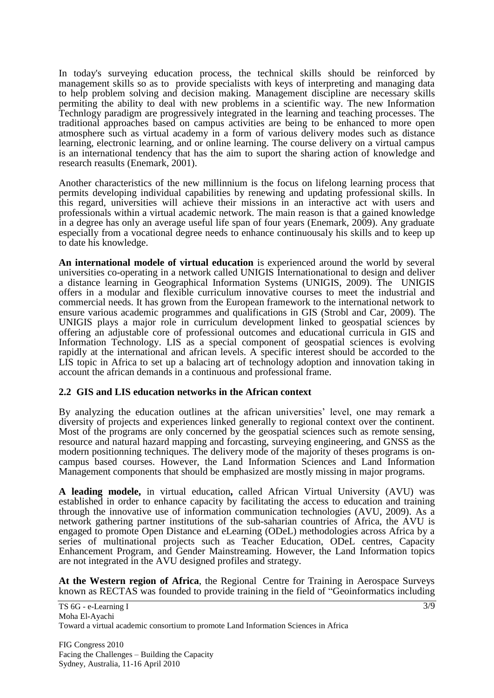In today's surveying education process, the technical skills should be reinforced by management skills so as to provide specialists with keys of interpreting and managing data to help problem solving and decision making. Management discipline are necessary skills permiting the ability to deal with new problems in a scientific way. The new Information Technlogy paradigm are progressively integrated in the learning and teaching processes. The traditional approaches based on campus activities are being to be enhanced to more open atmosphere such as virtual academy in a form of various delivery modes such as distance learning, electronic learning, and or online learning. The course delivery on a virtual campus is an international tendency that has the aim to suport the sharing action of knowledge and research reasults (Enemark, 2001).

Another characteristics of the new millinnium is the focus on lifelong learning process that permits developing individual capabilities by renewing and updating professional skills. In this regard, universities will achieve their missions in an interactive act with users and professionals within a virtual academic network. The main reason is that a gained knowledge in a degree has only an average useful life span of four years (Enemark, 2009). Any graduate especially from a vocational degree needs to enhance continuousaly his skills and to keep up to date his knowledge.

**An international modele of virtual education** is experienced around the world by several universities co-operating in a network called UNIGIS Internationational to design and deliver a distance learning in Geographical Information Systems (UNIGIS, 2009). The UNIGIS offers in a modular and flexible curriculum innovative courses to meet the industrial and commercial needs. It has grown from the European framework to the international network to ensure various academic programmes and qualifications in GIS (Strobl and Car, 2009). The UNIGIS plays a major role in curriculum development linked to geospatial sciences by offering an adjustable core of professional outcomes and educational curricula in GIS and Information Technology. LIS as a special component of geospatial sciences is evolving rapidly at the international and african levels. A specific interest should be accorded to the LIS topic in Africa to set up a balacing art of technology adoption and innovation taking in account the african demands in a continuous and professional frame.

#### **2.2 GIS and LIS education networks in the African context**

By analyzing the education outlines at the african universities' level, one may remark a diversity of projects and experiences linked generally to regional context over the continent. Most of the programs are only concerned by the geospatial sciences such as remote sensing, resource and natural hazard mapping and forcasting, surveying engineering, and GNSS as the modern positionning techniques. The delivery mode of the majority of theses programs is oncampus based courses. However, the Land Information Sciences and Land Information Management components that should be emphasized are mostly missing in major programs.

**A leading modele,** in virtual education**,** called African Virtual University (AVU) was established in order to enhance capacity by facilitating the access to education and training through the innovative use of information communication technologies (AVU, 2009). As a network gathering partner institutions of the sub-saharian countries of Africa, the AVU is engaged to promote Open Distance and eLearning (ODeL) methodologies across Africa by a series of multinational projects such as Teacher Education, ODeL centres, Capacity Enhancement Program, and Gender Mainstreaming. However, the Land Information topics are not integrated in the AVU designed profiles and strategy.

**At the Western region of Africa**, the Regional Centre for Training in Aerospace Surveys known as RECTAS was founded to provide training in the field of "Geoinformatics including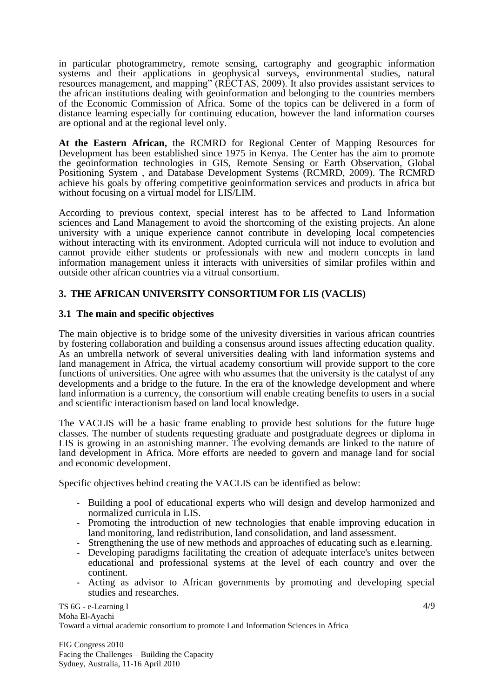in particular photogrammetry, remote sensing, cartography and geographic information systems and their applications in geophysical surveys, environmental studies, natural resources management, and mapping" (RECTAS, 2009). It also provides assistant services to the african institutions dealing with geoinformation and belonging to the countries members of the Economic Commission of Africa. Some of the topics can be delivered in a form of distance learning especially for continuing education, however the land information courses are optional and at the regional level only.

**At the Eastern African,** the RCMRD for Regional Center of Mapping Resources for Development has been established since 1975 in Kenya. The Center has the aim to promote the geoinformation technologies in GIS, Remote Sensing or Earth Observation, Global Positioning System , and Database Development Systems (RCMRD, 2009). The RCMRD achieve his goals by offering competitive geoinformation services and products in africa but without focusing on a virtual model for LIS/LIM.

According to previous context, special interest has to be affected to Land Information sciences and Land Management to avoid the shortcoming of the existing projects. An alone university with a unique experience cannot contribute in developing local competencies without interacting with its environment. Adopted curricula will not induce to evolution and cannot provide either students or professionals with new and modern concepts in land information management unless it interacts with universities of similar profiles within and outside other african countries via a vitrual consortium.

# **3. THE AFRICAN UNIVERSITY CONSORTIUM FOR LIS (VACLIS)**

# **3.1 The main and specific objectives**

The main objective is to bridge some of the univesity diversities in various african countries by fostering collaboration and building a consensus around issues affecting education quality. As an umbrella network of several universities dealing with land information systems and land management in Africa, the virtual academy consortium will provide support to the core functions of universities. One agree with who assumes that the university is the catalyst of any developments and a bridge to the future. In the era of the knowledge development and where land information is a currency, the consortium will enable creating benefits to users in a social and scientific interactionism based on land local knowledge.

The VACLIS will be a basic frame enabling to provide best solutions for the future huge classes. The number of students requesting graduate and postgraduate degrees or diploma in LIS is growing in an astonishing manner. The evolving demands are linked to the nature of land development in Africa. More efforts are needed to govern and manage land for social and economic development.

Specific objectives behind creating the VACLIS can be identified as below:

- Building a pool of educational experts who will design and develop harmonized and normalized curricula in LIS.
- Promoting the introduction of new technologies that enable improving education in land monitoring, land redistribution, land consolidation, and land assessment.
- Strengthening the use of new methods and approaches of educating such as e.learning.
- Developing paradigms facilitating the creation of adequate interface's unites between educational and professional systems at the level of each country and over the continent.
- Acting as advisor to African governments by promoting and developing special studies and researches.

TS 6G - e-Learning I Moha El-Ayachi

Toward a virtual academic consortium to promote Land Information Sciences in Africa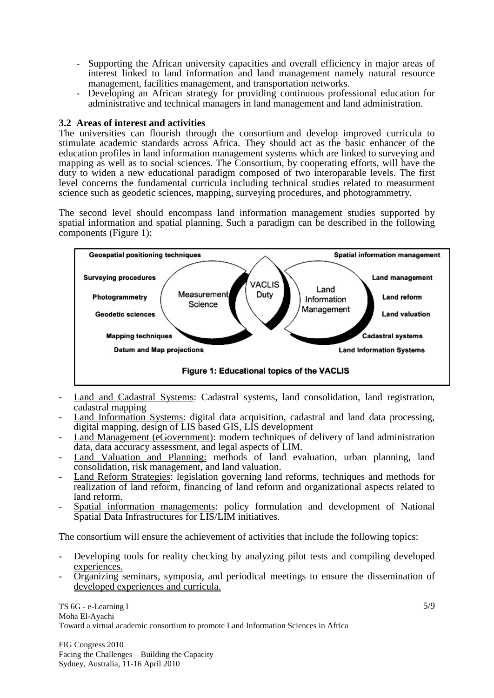- Supporting the African university capacities and overall efficiency in major areas of interest linked to land information and land management namely natural resource management, facilities management, and transportation networks.
- Developing an African strategy for providing continuous professional education for administrative and technical managers in land management and land administration.

### **3.2 Areas of interest and activities**

The universities can flourish through the consortium and develop improved curricula to stimulate academic standards across Africa. They should act as the basic enhancer of the education profiles in land information management systems which are linked to surveying and mapping as well as to social sciences. The Consortium, by cooperating efforts, will have the duty to widen a new educational paradigm composed of two interoparable levels. The first level concerns the fundamental curricula including technical studies related to measurment science such as geodetic sciences, mapping, surveying procedures, and photogrammetry.

The second level should encompass land information management studies supported by spatial information and spatial planning. Such a paradigm can be described in the following components (Figure 1):



- Land and Cadastral Systems: Cadastral systems, land consolidation, land registration, cadastral mapping
- Land Information Systems: digital data acquisition, cadastral and land data processing, digital mapping, design of LIS based GIS, LIS development
- Land Management (eGovernment): modern techniques of delivery of land administration data, data accuracy assessment, and legal aspects of LIM.
- Land Valuation and Planning: methods of land evaluation, urban planning, land consolidation, risk management, and land valuation.
- Land Reform Strategies: legislation governing land reforms, techniques and methods for realization of land reform, financing of land reform and organizational aspects related to land reform.
- Spatial information managements: policy formulation and development of National Spatial Data Infrastructures for LIS/LIM initiatives.

The consortium will ensure the achievement of activities that include the following topics:

- Developing tools for reality checking by analyzing pilot tests and compiling developed experiences.
- Organizing seminars, symposia, and periodical meetings to ensure the dissemination of developed experiences and curricula.

Toward a virtual academic consortium to promote Land Information Sciences in Africa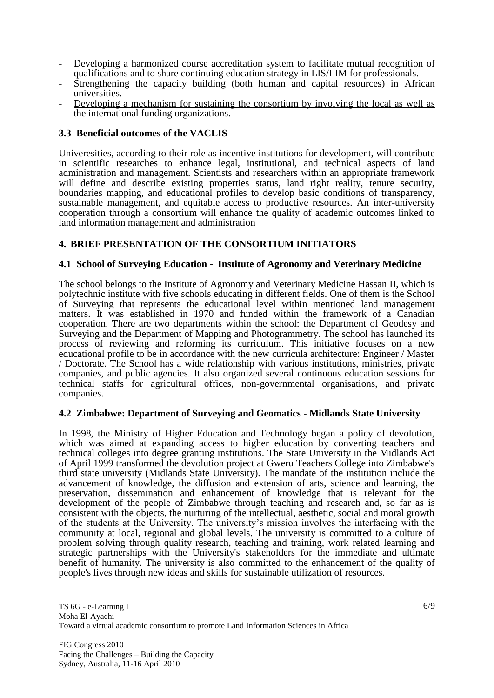- Developing a harmonized course accreditation system to facilitate mutual recognition of qualifications and to share continuing education strategy in LIS/LIM for professionals.
- Strengthening the capacity building (both human and capital resources) in African universities.
- Developing a mechanism for sustaining the consortium by involving the local as well as the international funding organizations.

# **3.3 Beneficial outcomes of the VACLIS**

Univeresities, according to their role as incentive institutions for development, will contribute in scientific researches to enhance legal, institutional, and technical aspects of land administration and management. Scientists and researchers within an appropriate framework will define and describe existing properties status, land right reality, tenure security, boundaries mapping, and educational profiles to develop basic conditions of transparency, sustainable management, and equitable access to productive resources. An inter-university cooperation through a consortium will enhance the quality of academic outcomes linked to land information management and administration

# **4. BRIEF PRESENTATION OF THE CONSORTIUM INITIATORS**

### **4.1 School of Surveying Education - Institute of Agronomy and Veterinary Medicine**

The school belongs to the Institute of Agronomy and Veterinary Medicine Hassan II, which is polytechnic institute with five schools educating in different fields. One of them is the School of Surveying that represents the educational level within mentioned land management matters. It was established in 1970 and funded within the framework of a Canadian cooperation. There are two departments within the school: the Department of Geodesy and Surveying and the Department of Mapping and Photogrammetry. The school has launched its process of reviewing and reforming its curriculum. This initiative focuses on a new educational profile to be in accordance with the new curricula architecture: Engineer / Master / Doctorate. The School has a wide relationship with various institutions, ministries, private companies, and public agencies. It also organized several continuous education sessions for technical staffs for agricultural offices, non-governmental organisations, and private companies.

#### **4.2 Zimbabwe: Department of Surveying and Geomatics - Midlands State University**

In 1998, the Ministry of Higher Education and Technology began a policy of devolution, which was aimed at expanding access to higher education by converting teachers and technical colleges into degree granting institutions. The State University in the Midlands Act of April 1999 transformed the devolution project at Gweru Teachers College into Zimbabwe's third state university (Midlands State University). The mandate of the institution include the advancement of knowledge, the diffusion and extension of arts, science and learning, the preservation, dissemination and enhancement of knowledge that is relevant for the development of the people of Zimbabwe through teaching and research and, so far as is consistent with the objects, the nurturing of the intellectual, aesthetic, social and moral growth of the students at the University. The university's mission involves the interfacing with the community at local, regional and global levels. The university is committed to a culture of problem solving through quality research, teaching and training, work related learning and strategic partnerships with the University's stakeholders for the immediate and ultimate benefit of humanity. The university is also committed to the enhancement of the quality of people's lives through new ideas and skills for sustainable utilization of resources.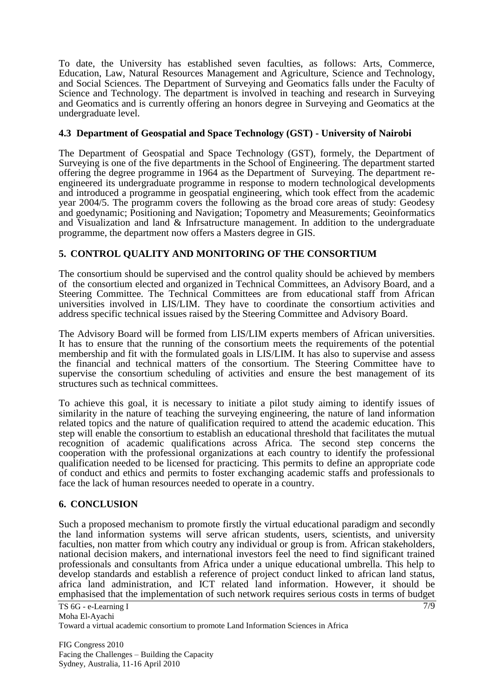To date, the University has established seven faculties, as follows: Arts, Commerce, Education, Law, Natural Resources Management and Agriculture, Science and Technology, and Social Sciences. The Department of Surveying and Geomatics falls under the Faculty of Science and Technology. The department is involved in teaching and research in Surveying and Geomatics and is currently offering an honors degree in Surveying and Geomatics at the undergraduate level.

### **4.3 Department of Geospatial and Space Technology (GST) - University of Nairobi**

The Department of Geospatial and Space Technology (GST), formely, the Department of Surveying is one of the five departments in the School of Engineering. The department started offering the degree programme in 1964 as the Department of Surveying. The department reengineered its undergraduate programme in response to modern technological developments and introduced a programme in geospatial engineering, which took effect from the academic year 2004/5. The programm covers the following as the broad core areas of study: Geodesy and goedynamic; Positioning and Navigation; Topometry and Measurements; Geoinformatics and Visualization and land & Infrsatructure management. In addition to the undergraduate programme, the department now offers a Masters degree in GIS.

### **5. CONTROL QUALITY AND MONITORING OF THE CONSORTIUM**

The consortium should be supervised and the control quality should be achieved by members of the consortium elected and organized in Technical Committees, an Advisory Board, and a Steering Committee. The Technical Committees are from educational staff from African universities involved in LIS/LIM. They have to coordinate the consortium activities and address specific technical issues raised by the Steering Committee and Advisory Board.

The Advisory Board will be formed from LIS/LIM experts members of African universities. It has to ensure that the running of the consortium meets the requirements of the potential membership and fit with the formulated goals in LIS/LIM. It has also to supervise and assess the financial and technical matters of the consortium. The Steering Committee have to supervise the consortium scheduling of activities and ensure the best management of its structures such as technical committees.

To achieve this goal, it is necessary to initiate a pilot study aiming to identify issues of similarity in the nature of teaching the surveying engineering, the nature of land information related topics and the nature of qualification required to attend the academic education. This step will enable the consortium to establish an educational threshold that facilitates the mutual recognition of academic qualifications across Africa. The second step concerns the cooperation with the professional organizations at each country to identify the professional qualification needed to be licensed for practicing. This permits to define an appropriate code of conduct and ethics and permits to foster exchanging academic staffs and professionals to face the lack of human resources needed to operate in a country.

#### **6. CONCLUSION**

Such a proposed mechanism to promote firstly the virtual educational paradigm and secondly the land information systems will serve african students, users, scientists, and university faculties, non matter from which coutry any individual or group is from. African stakeholders, national decision makers, and international investors feel the need to find significant trained professionals and consultants from Africa under a unique educational umbrella. This help to develop standards and establish a reference of project conduct linked to african land status, africa land administration, and ICT related land information. However, it should be emphasised that the implementation of such network requires serious costs in terms of budget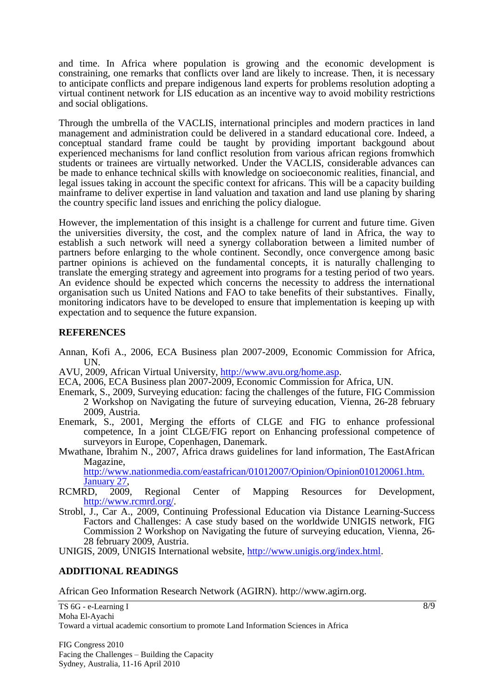and time. In Africa where population is growing and the economic development is constraining, one remarks that conflicts over land are likely to increase. Then, it is necessary to anticipate conflicts and prepare indigenous land experts for problems resolution adopting a virtual continent network for LIS education as an incentive way to avoid mobility restrictions and social obligations.

Through the umbrella of the VACLIS, international principles and modern practices in land management and administration could be delivered in a standard educational core. Indeed, a conceptual standard frame could be taught by providing important backgound about experienced mechanisms for land conflict resolution from various african regions fromwhich students or trainees are virtually networked. Under the VACLIS, considerable advances can be made to enhance technical skills with knowledge on socioeconomic realities, financial, and legal issues taking in account the specific context for africans. This will be a capacity building mainframe to deliver expertise in land valuation and taxation and land use planing by sharing the country specific land issues and enriching the policy dialogue.

However, the implementation of this insight is a challenge for current and future time. Given the universities diversity, the cost, and the complex nature of land in Africa, the way to establish a such network will need a synergy collaboration between a limited number of partners before enlarging to the whole continent. Secondly, once convergence among basic partner opinions is achieved on the fundamental concepts, it is naturally challenging to translate the emerging strategy and agreement into programs for a testing period of two years. An evidence should be expected which concerns the necessity to address the international organisation such us United Nations and FAO to take benefits of their substantives. Finally, monitoring indicators have to be developed to ensure that implementation is keeping up with expectation and to sequence the future expansion.

### **REFERENCES**

- Annan, Kofi A., 2006, ECA Business plan 2007-2009, Economic Commission for Africa, UN.
- AVU, 2009, African Virtual University, [http://www.avu.org/home.asp.](http://www.avu.org/home.asp)
- ECA, 2006, ECA Business plan 2007-2009, Economic Commission for Africa, UN.
- Enemark, S., 2009, Surveying education: facing the challenges of the future, FIG Commission 2 Workshop on Navigating the future of surveying education, Vienna, 26-28 february 2009, Austria.
- Enemark, S., 2001, Merging the efforts of CLGE and FIG to enhance professional competence, In a joint CLGE/FIG report on Enhancing professional competence of surveyors in Europe, Copenhagen, Danemark.
- Mwathane, Ibrahim N., 2007, Africa draws guidelines for land information, The EastAfrican Magazine,

[http://www.nationmedia.com/eastafrican/01012007/Opinion/Opinion010120061.htm.](http://www.nationmedia.com/eastafrican/01012007/Opinion/Opinion010120061.htm.%20January%2027)  [January 27,](http://www.nationmedia.com/eastafrican/01012007/Opinion/Opinion010120061.htm.%20January%2027)

- RCMRD, 2009, Regional Center of Mapping Resources for Development, [http://www.rcmrd.org/.](http://www.rcmrd.org/)
- Strobl, J., Car A., 2009, Continuing Professional Education via Distance Learning-Success Factors and Challenges: A case study based on the worldwide UNIGIS network, FIG Commission 2 Workshop on Navigating the future of surveying education, Vienna, 26- 28 february 2009, Austria.

UNIGIS, 2009, UNIGIS International website, [http://www.unigis.org/index.html.](http://www.unigis.org/index.html)

# **ADDITIONAL READINGS**

African Geo Information Research Network (AGIRN). http:/[/www.agirn.org.](http://www.agirn.org/)